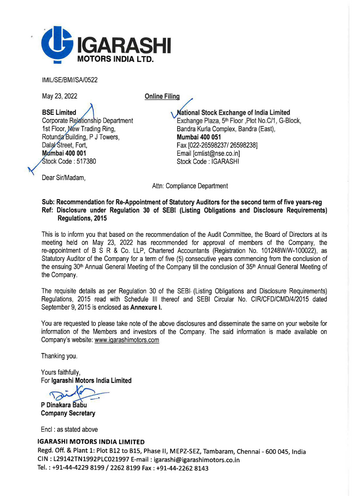

IMIL/SE/BM//SA/0522

May 23, 2022

Online Filing

BSE Limited Corporate Relationship Department 1st Floor, New Trading Ring, Rotunda Building, P J Towers, Dala/Street, Fort, Mumbai 400 001 Stock Code: 517380

National Stock Exchange of India Limited Exchange Plaza, 5<sup>th</sup> Floor ,Plot No.C/1, G-Block, Bandra Kurla Complex, Bandra (East), Mumbai 400 051 Fax [022-26598237/ 26598238] Email [cmlist@nse.co.in] Stock Code: IGARASHI

Dear Sir/Madam,

Attn: Compliance Department

## Sub: Recommendation for Re-Appointment of Statutory Auditors for the second term of five years-reg Ref: Disclosure under Regulation 30 of SEBI (Listing Obligations and Disclosure Requirements) Regulations, 2015

This is to inform you that based on the recommendation of the Audit Committee, the Board of Directors at its meeting held on May 23, 2022 has recommended for approval of members of the Company, the re-appointment of B S R & Co. LLP, Chartered Accountants (Registration No. 101248W/W-100022), as Statutory Auditor of the Company for a term of five (5) consecutive years commencing from the conclusion of the ensuing 30<sup>th</sup> Annual General Meeting of the Company till the conclusion of 35<sup>th</sup> Annual General Meeting of the Company.

The requisite details as per Regulation 30 of the SEBI· (Listing Obligations and Disclosure Requirements) Regulations, 2015 read with Schedule Ill thereof and SEBI Circular No. CIR/CFD/CMD/4/2015 dated September 9, 2015 is enclosed as Annexure I.

You are requested to please take note of the above disclosures and disseminate the same on your website for information of the Members and investors of the Company. The said information is made available on Company's website: www.igarashimotors.com

Thanking you.

Yours faithfully, For lgarashi Motors India Limited

P Dinakara Babu Company Secretary

Encl : as stated above

## IGARASHI MOTORS INDIA LIMITED

Regd. Off. & Plant 1: Plot 812 to 815, Phase II, MEPZ-SEZ, Tambaram, Chennai - 600 045, India CIN : L29142TN1992PLC021997 E-mail: igarashi@igarashimotors.co.in Tel.: +91-44-4229 8199 / 2262 8199 Fax: +91-44-2262 8143